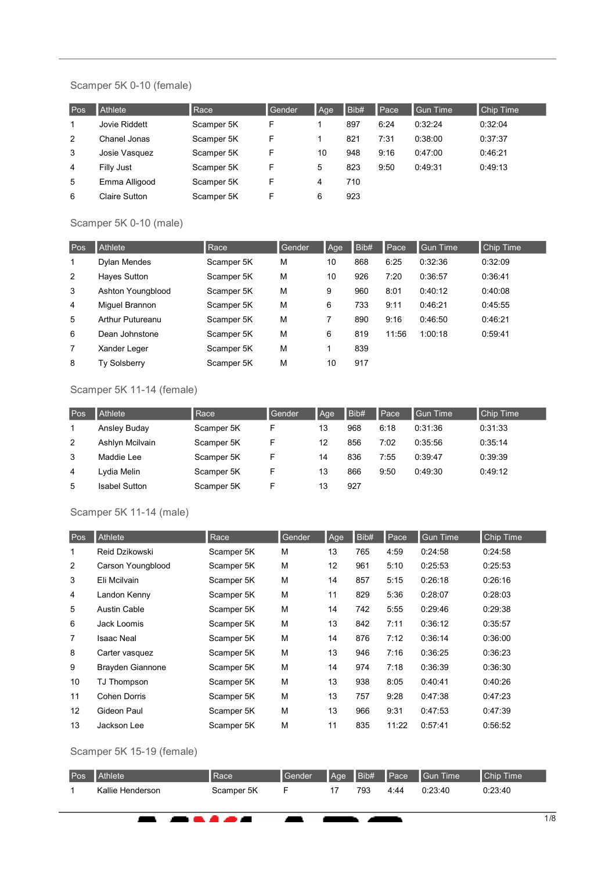### Scamper 5K 0-10 (female)

| Pos | Athlete       | Race       | Gender | Age | Bib# | Pace | <b>Gun Time</b> | <b>Chip Time</b> |
|-----|---------------|------------|--------|-----|------|------|-----------------|------------------|
|     | Jovie Riddett | Scamper 5K | F      |     | 897  | 6:24 | 0:32:24         | 0:32:04          |
| 2   | Chanel Jonas  | Scamper 5K | F      |     | 821  | 7:31 | 0.38:00         | 0:37:37          |
| 3   | Josie Vasquez | Scamper 5K | F      | 10  | 948  | 9:16 | 0:47:00         | 0:46:21          |
| 4   | Filly Just    | Scamper 5K | F      | 5   | 823  | 9:50 | 0:49:31         | 0:49:13          |
| 5   | Emma Alligood | Scamper 5K | F      | 4   | 710  |      |                 |                  |
| 6   | Claire Sutton | Scamper 5K | F      | 6   | 923  |      |                 |                  |

# Scamper 5K 0-10 (male)

| Pos            | <b>Athlete</b>      | Race       | Gender | Age | Bib# | Pace  | <b>Gun Time</b> | <b>Chip Time</b> |
|----------------|---------------------|------------|--------|-----|------|-------|-----------------|------------------|
| 1              | Dylan Mendes        | Scamper 5K | M      | 10  | 868  | 6:25  | 0:32:36         | 0:32:09          |
| 2              | Hayes Sutton        | Scamper 5K | M      | 10  | 926  | 7:20  | 0:36:57         | 0:36:41          |
| 3              | Ashton Youngblood   | Scamper 5K | M      | 9   | 960  | 8:01  | 0:40:12         | 0:40:08          |
| $\overline{4}$ | Miquel Brannon      | Scamper 5K | M      | 6   | 733  | 9:11  | 0:46:21         | 0.45:55          |
| 5              | Arthur Putureanu    | Scamper 5K | M      | 7   | 890  | 9:16  | 0:46:50         | 0:46:21          |
| 6              | Dean Johnstone      | Scamper 5K | M      | 6   | 819  | 11:56 | 1:00:18         | 0:59:41          |
| 7              | Xander Leger        | Scamper 5K | M      |     | 839  |       |                 |                  |
| 8              | <b>Ty Solsberry</b> | Scamper 5K | M      | 10  | 917  |       |                 |                  |

# Scamper 5K 11-14 (female)

| Pos | Athlete              | Race       | Gender | Age | Bib# | Pace | <b>Gun Time</b> | <b>Chip Time</b> |
|-----|----------------------|------------|--------|-----|------|------|-----------------|------------------|
|     | Ansley Buday         | Scamper 5K |        | 13  | 968  | 6:18 | 0.31:36         | 0:31:33          |
| 2   | Ashlyn Mcilvain      | Scamper 5K |        | 12  | 856  | 7:02 | 0:35:56         | 0:35:14          |
| 3   | Maddie Lee           | Scamper 5K |        | 14  | 836  | 7:55 | 0:39:47         | 0:39:39          |
| 4   | Lvdia Melin          | Scamper 5K | F      | 13  | 866  | 9:50 | 0:49:30         | 0:49:12          |
| 5   | <b>Isabel Sutton</b> | Scamper 5K |        | 13  | 927  |      |                 |                  |

# Scamper 5K 11-14 (male)

| Pos | Athlete                 | Race       | Gender | Age | Bib# | Pace  | <b>Gun Time</b> | Chip Time |
|-----|-------------------------|------------|--------|-----|------|-------|-----------------|-----------|
| 1   | Reid Dzikowski          | Scamper 5K | М      | 13  | 765  | 4:59  | 0:24:58         | 0:24:58   |
| 2   | Carson Youngblood       | Scamper 5K | M      | 12  | 961  | 5:10  | 0:25:53         | 0:25:53   |
| 3   | Eli Mcilvain            | Scamper 5K | M      | 14  | 857  | 5:15  | 0:26:18         | 0:26:16   |
| 4   | Landon Kenny            | Scamper 5K | M      | 11  | 829  | 5:36  | 0:28:07         | 0:28:03   |
| 5   | <b>Austin Cable</b>     | Scamper 5K | M      | 14  | 742  | 5:55  | 0:29:46         | 0:29:38   |
| 6   | Jack Loomis             | Scamper 5K | M      | 13  | 842  | 7:11  | 0:36:12         | 0:35:57   |
| 7   | <b>Isaac Neal</b>       | Scamper 5K | M      | 14  | 876  | 7:12  | 0:36:14         | 0:36:00   |
| 8   | Carter vasquez          | Scamper 5K | M      | 13  | 946  | 7:16  | 0:36:25         | 0:36:23   |
| 9   | <b>Brayden Giannone</b> | Scamper 5K | M      | 14  | 974  | 7:18  | 0:36:39         | 0:36:30   |
| 10  | TJ Thompson             | Scamper 5K | M      | 13  | 938  | 8:05  | 0:40:41         | 0:40:26   |
| 11  | <b>Cohen Dorris</b>     | Scamper 5K | M      | 13  | 757  | 9:28  | 0:47:38         | 0:47:23   |
| 12  | Gideon Paul             | Scamper 5K | M      | 13  | 966  | 9:31  | 0:47:53         | 0:47:39   |
| 13  | Jackson Lee             | Scamper 5K | M      | 11  | 835  | 11:22 | 0:57:41         | 0:56:52   |

### Scamper 5K 15-19 (female)

 $\blacksquare$ 

 $\overline{a}$ 

. . . . .

| Pos <sup>'</sup> | <b>Athlete</b>   | ∣Race      | <b>Gender</b> | Aqe | $\overline{\mathsf{BibH}}$ | <b>N</b> Pace | <b>I</b> Gun Time | Chip Time |
|------------------|------------------|------------|---------------|-----|----------------------------|---------------|-------------------|-----------|
|                  | Kallie Henderson | Scamper 5K |               |     | 793                        | 4:44          | 0:23:40           | 0:23:40   |

ь ж

ĥ.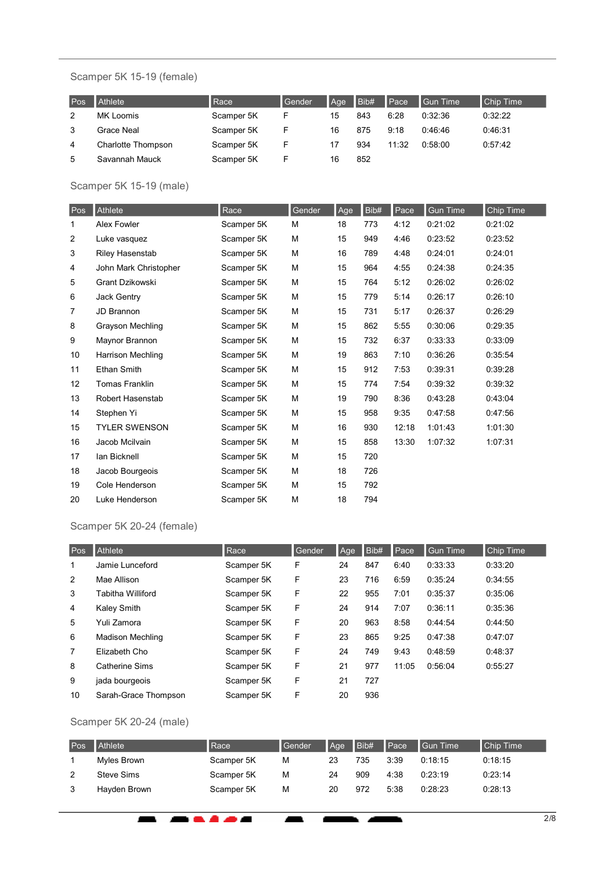# Scamper 5K 15-19 (female)

| Pos | <b>Athlete</b>     | Race       | Gender | Aqe | IBib# | <b>I</b> Pace | Gun Time | <b>Chip Time</b> |
|-----|--------------------|------------|--------|-----|-------|---------------|----------|------------------|
| 2   | MK Loomis          | Scamper 5K | F      | 15  | 843   | 6:28          | 0:32:36  | 0:32:22          |
| 3   | Grace Neal         | Scamper 5K | F      | 16  | 875   | 9:18          | 0.46.46  | 0:46:31          |
| 4   | Charlotte Thompson | Scamper 5K | F      | 17  | 934   | 11:32         | 0.58:00  | 0.57.42          |
| 5   | Savannah Mauck     | Scamper 5K |        | 16  | 852   |               |          |                  |

### Scamper 5K 15-19 (male)

| Pos | Athlete                 | Race       | Gender | Age | Bib# | Pace  | <b>Gun Time</b> | Chip Time |
|-----|-------------------------|------------|--------|-----|------|-------|-----------------|-----------|
| 1   | Alex Fowler             | Scamper 5K | M      | 18  | 773  | 4:12  | 0:21:02         | 0:21:02   |
| 2   | Luke vasquez            | Scamper 5K | M      | 15  | 949  | 4:46  | 0:23:52         | 0:23:52   |
| 3   | <b>Riley Hasenstab</b>  | Scamper 5K | M      | 16  | 789  | 4:48  | 0:24:01         | 0:24:01   |
| 4   | John Mark Christopher   | Scamper 5K | M      | 15  | 964  | 4:55  | 0:24:38         | 0:24:35   |
| 5   | Grant Dzikowski         | Scamper 5K | M      | 15  | 764  | 5:12  | 0:26:02         | 0:26:02   |
| 6   | Jack Gentry             | Scamper 5K | M      | 15  | 779  | 5:14  | 0:26:17         | 0:26:10   |
| 7   | JD Brannon              | Scamper 5K | M      | 15  | 731  | 5:17  | 0:26:37         | 0:26:29   |
| 8   | <b>Grayson Mechling</b> | Scamper 5K | М      | 15  | 862  | 5:55  | 0:30:06         | 0:29:35   |
| 9   | Maynor Brannon          | Scamper 5K | M      | 15  | 732  | 6:37  | 0:33:33         | 0:33:09   |
| 10  | Harrison Mechling       | Scamper 5K | M      | 19  | 863  | 7:10  | 0:36:26         | 0:35:54   |
| 11  | <b>Ethan Smith</b>      | Scamper 5K | M      | 15  | 912  | 7:53  | 0:39:31         | 0:39:28   |
| 12  | <b>Tomas Franklin</b>   | Scamper 5K | M      | 15  | 774  | 7:54  | 0:39:32         | 0:39:32   |
| 13  | Robert Hasenstab        | Scamper 5K | M      | 19  | 790  | 8:36  | 0:43:28         | 0:43:04   |
| 14  | Stephen Yi              | Scamper 5K | M      | 15  | 958  | 9:35  | 0:47:58         | 0:47:56   |
| 15  | <b>TYLER SWENSON</b>    | Scamper 5K | M      | 16  | 930  | 12:18 | 1:01:43         | 1:01:30   |
| 16  | Jacob Mcilvain          | Scamper 5K | M      | 15  | 858  | 13:30 | 1:07:32         | 1:07:31   |
| 17  | Ian Bicknell            | Scamper 5K | M      | 15  | 720  |       |                 |           |
| 18  | Jacob Bourgeois         | Scamper 5K | M      | 18  | 726  |       |                 |           |
| 19  | Cole Henderson          | Scamper 5K | M      | 15  | 792  |       |                 |           |
| 20  | Luke Henderson          | Scamper 5K | M      | 18  | 794  |       |                 |           |

## Scamper 5K 20-24 (female)

| Pos | Athlete                 | Race       | Gender | Age | Bib# | $\blacksquare$ Pace | <b>Gun</b> Time | Chip Time |
|-----|-------------------------|------------|--------|-----|------|---------------------|-----------------|-----------|
| 1   | Jamie Lunceford         | Scamper 5K | F      | 24  | 847  | 6:40                | 0:33:33         | 0:33:20   |
| 2   | Mae Allison             | Scamper 5K | F      | 23  | 716  | 6:59                | 0:35:24         | 0:34:55   |
| 3   | Tabitha Williford       | Scamper 5K | F      | 22  | 955  | 7:01                | 0:35:37         | 0:35:06   |
| 4   | Kaley Smith             | Scamper 5K | F      | 24  | 914  | 7:07                | 0:36:11         | 0:35:36   |
| 5   | Yuli Zamora             | Scamper 5K | F      | 20  | 963  | 8:58                | 0:44:54         | 0:44:50   |
| 6   | <b>Madison Mechling</b> | Scamper 5K | F      | 23  | 865  | 9:25                | 0:47:38         | 0:47:07   |
| 7   | Elizabeth Cho           | Scamper 5K | F      | 24  | 749  | 9:43                | 0:48:59         | 0:48:37   |
| 8   | <b>Catherine Sims</b>   | Scamper 5K | F      | 21  | 977  | 11:05               | 0:56:04         | 0:55:27   |
| 9   | jada bourgeois          | Scamper 5K | F      | 21  | 727  |                     |                 |           |
| 10  | Sarah-Grace Thompson    | Scamper 5K | F      | 20  | 936  |                     |                 |           |

# Scamper 5K 20-24 (male)

 $\blacksquare$ 

-----

| Pos. | <b>Athlete</b> | <b>Race</b> | <b>Gender</b> | Aqe | IBib# | $I$ Pace | I Gun Time | <b>Chip Time</b> |
|------|----------------|-------------|---------------|-----|-------|----------|------------|------------------|
|      | Myles Brown    | Scamper 5K  | м             | 23  | 735   | 3:39     | 0:18:15    | 0:18:15          |
|      | Steve Sims     | Scamper 5K  | М             | 24  | 909   | 4:38     | 0:23:19    | 0:23:14          |
|      | Hayden Brown   | Scamper 5K  | М             | 20  | 972   | 5:38     | 0.28:23    | 0:28:13          |

ь ж

ĥ.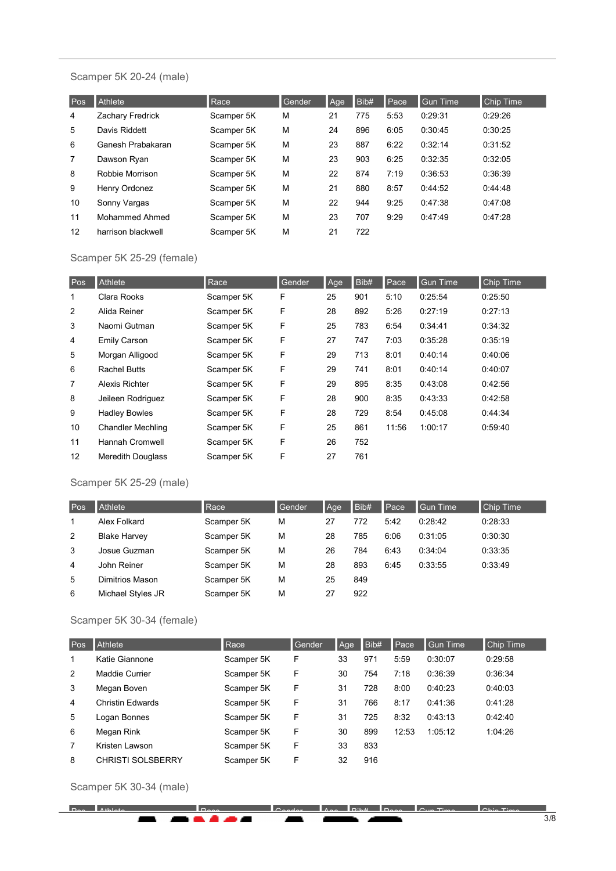#### Scamper 5K 20-24 (male)

| Pos            | <b>Athlete</b>     | Race       | Gender | Age | Bib# | Pace | Gun Time | <b>Chip Time</b> |
|----------------|--------------------|------------|--------|-----|------|------|----------|------------------|
| 4              | Zachary Fredrick   | Scamper 5K | М      | 21  | 775  | 5:53 | 0:29:31  | 0:29:26          |
| 5              | Davis Riddett      | Scamper 5K | М      | 24  | 896  | 6:05 | 0:30:45  | 0:30:25          |
| 6              | Ganesh Prabakaran  | Scamper 5K | M      | 23  | 887  | 6:22 | 0:32:14  | 0:31:52          |
| $\overline{7}$ | Dawson Ryan        | Scamper 5K | М      | 23  | 903  | 6:25 | 0:32:35  | 0:32:05          |
| 8              | Robbie Morrison    | Scamper 5K | М      | 22  | 874  | 7:19 | 0:36:53  | 0:36:39          |
| 9              | Henry Ordonez      | Scamper 5K | М      | 21  | 880  | 8:57 | 0:44:52  | 0.44.48          |
| 10             | Sonny Vargas       | Scamper 5K | M      | 22  | 944  | 9:25 | 0:47:38  | 0:47:08          |
| 11             | Mohammed Ahmed     | Scamper 5K | M      | 23  | 707  | 9:29 | 0:47:49  | 0:47:28          |
| 12             | harrison blackwell | Scamper 5K | М      | 21  | 722  |      |          |                  |

# Scamper 5K 25-29 (female)

| Pos            | Athlete                  | Race       | Gender | Age | Bib# | Pace  | <b>Gun Time</b> | Chip Time |
|----------------|--------------------------|------------|--------|-----|------|-------|-----------------|-----------|
| 1              | Clara Rooks              | Scamper 5K | F      | 25  | 901  | 5:10  | 0:25:54         | 0:25:50   |
| 2              | Alida Reiner             | Scamper 5K | F      | 28  | 892  | 5:26  | 0:27:19         | 0:27:13   |
| 3              | Naomi Gutman             | Scamper 5K | F      | 25  | 783  | 6:54  | 0:34:41         | 0:34:32   |
| $\overline{4}$ | <b>Emily Carson</b>      | Scamper 5K | F      | 27  | 747  | 7:03  | 0:35:28         | 0:35:19   |
| 5              | Morgan Alligood          | Scamper 5K | F      | 29  | 713  | 8:01  | 0:40:14         | 0.40:06   |
| 6              | <b>Rachel Butts</b>      | Scamper 5K | F      | 29  | 741  | 8:01  | 0.40:14         | 0:40:07   |
| 7              | Alexis Richter           | Scamper 5K | F      | 29  | 895  | 8:35  | 0:43:08         | 0:42:56   |
| 8              | Jeileen Rodriguez        | Scamper 5K | F      | 28  | 900  | 8:35  | 0:43:33         | 0:42:58   |
| 9              | <b>Hadley Bowles</b>     | Scamper 5K | F      | 28  | 729  | 8:54  | 0:45:08         | 0:44:34   |
| 10             | <b>Chandler Mechling</b> | Scamper 5K | F      | 25  | 861  | 11:56 | 1:00:17         | 0:59:40   |
| 11             | <b>Hannah Cromwell</b>   | Scamper 5K | F      | 26  | 752  |       |                 |           |
| 12             | <b>Meredith Douglass</b> | Scamper 5K | F      | 27  | 761  |       |                 |           |

#### Scamper 5K 25-29 (male)

| Pos | Athlete             | Race       | Gender | Age | Bib# | Pace | <b>Gun Time</b> | Chip Time |
|-----|---------------------|------------|--------|-----|------|------|-----------------|-----------|
|     | Alex Folkard        | Scamper 5K | M      | 27  | 772  | 5:42 | 0.28.42         | 0:28:33   |
| 2   | <b>Blake Harvey</b> | Scamper 5K | M      | 28  | 785  | 6:06 | 0:31:05         | 0:30:30   |
| 3   | Josue Guzman        | Scamper 5K | M      | 26  | 784  | 6:43 | 0:34:04         | 0:33:35   |
| 4   | John Reiner         | Scamper 5K | M      | 28  | 893  | 6:45 | 0:33:55         | 0:33:49   |
| 5   | Dimitrios Mason     | Scamper 5K | M      | 25  | 849  |      |                 |           |
| 6   | Michael Styles JR   | Scamper 5K | M      | 27  | 922  |      |                 |           |

# Scamper 5K 30-34 (female)

| Pos | <b>Athlete</b>           | Race       | Gender | Age | Bib# | Pace  | <b>Gun Time</b> | <b>Chip Time</b> |
|-----|--------------------------|------------|--------|-----|------|-------|-----------------|------------------|
| 1   | Katie Giannone           | Scamper 5K | F      | 33  | 971  | 5:59  | 0:30:07         | 0:29:58          |
| 2   | Maddie Currier           | Scamper 5K | F      | 30  | 754  | 7:18  | 0:36:39         | 0:36:34          |
| 3   | Megan Boven              | Scamper 5K | F      | 31  | 728  | 8:00  | 0:40:23         | 0:40:03          |
| 4   | Christin Fdwards         | Scamper 5K | F      | 31  | 766  | 8:17  | 0:41:36         | 0:41:28          |
| 5   | Logan Bonnes             | Scamper 5K | F      | 31  | 725  | 8:32  | 0:43:13         | 0:42:40          |
| 6   | Megan Rink               | Scamper 5K | F      | 30  | 899  | 12:53 | 1:05:12         | 1:04:26          |
| 7   | Kristen Lawson           | Scamper 5K | F      | 33  | 833  |       |                 |                  |
| 8   | <b>CHRISTI SOLSBERRY</b> | Scamper 5K | F      | 32  | 916  |       |                 |                  |

Scamper 5K 30-34 (male)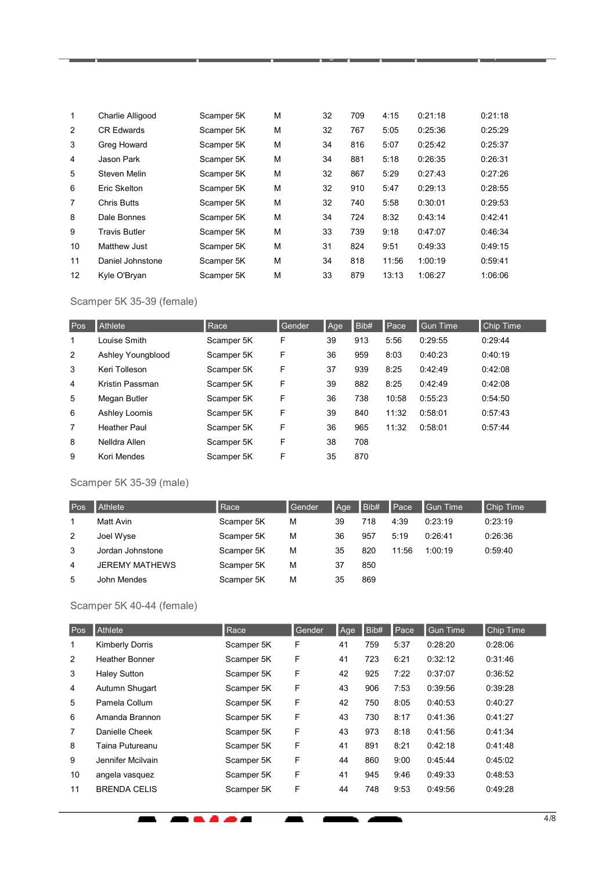| $\mathbf{1}$   | Charlie Alligood     | Scamper 5K | М | 32 | 709 | 4:15  | 0:21:18 | 0:21:18 |
|----------------|----------------------|------------|---|----|-----|-------|---------|---------|
| 2              | <b>CR Edwards</b>    | Scamper 5K | M | 32 | 767 | 5:05  | 0:25:36 | 0.25:29 |
| 3              | Greg Howard          | Scamper 5K | M | 34 | 816 | 5:07  | 0:25:42 | 0.25.37 |
| 4              | Jason Park           | Scamper 5K | М | 34 | 881 | 5:18  | 0:26:35 | 0:26:31 |
| 5              | Steven Melin         | Scamper 5K | M | 32 | 867 | 5:29  | 0:27:43 | 0:27:26 |
| 6              | Eric Skelton         | Scamper 5K | M | 32 | 910 | 5:47  | 0:29:13 | 0:28:55 |
| $\overline{7}$ | <b>Chris Butts</b>   | Scamper 5K | M | 32 | 740 | 5:58  | 0:30:01 | 0:29:53 |
| 8              | Dale Bonnes          | Scamper 5K | М | 34 | 724 | 8:32  | 0:43:14 | 0:42:41 |
| 9              | <b>Travis Butler</b> | Scamper 5K | M | 33 | 739 | 9:18  | 0.47:07 | 0:46:34 |
| 10             | Matthew Just         | Scamper 5K | М | 31 | 824 | 9:51  | 0:49:33 | 0:49:15 |
| 11             | Daniel Johnstone     | Scamper 5K | M | 34 | 818 | 11:56 | 1:00:19 | 0:59:41 |
| 12             | Kyle O'Bryan         | Scamper 5K | M | 33 | 879 | 13:13 | 1:06:27 | 1:06:06 |

Pos Athlete Race Gender Age Bib# Pace Gun Time Chip Time

### Scamper 5K 35-39 (female)

| Pos | Athlete             | Race       | Gender | Age | Bib# | Pace  | <b>Gun Time</b> | Chip Time |
|-----|---------------------|------------|--------|-----|------|-------|-----------------|-----------|
| 1   | Louise Smith        | Scamper 5K | F      | 39  | 913  | 5:56  | 0:29:55         | 0.29:44   |
| 2   | Ashley Youngblood   | Scamper 5K | F      | 36  | 959  | 8:03  | 0:40:23         | 0:40:19   |
| 3   | Keri Tolleson       | Scamper 5K | F      | 37  | 939  | 8:25  | 0.42.49         | 0.42:08   |
| 4   | Kristin Passman     | Scamper 5K | F      | 39  | 882  | 8:25  | 0:42:49         | 0.42:08   |
| 5   | Megan Butler        | Scamper 5K | F      | 36  | 738  | 10:58 | 0:55:23         | 0:54:50   |
| 6   | Ashley Loomis       | Scamper 5K | F      | 39  | 840  | 11:32 | 0.58:01         | 0:57:43   |
| 7   | <b>Heather Paul</b> | Scamper 5K | F      | 36  | 965  | 11:32 | 0.58:01         | 0.57:44   |
| 8   | Nelldra Allen       | Scamper 5K | F      | 38  | 708  |       |                 |           |
| 9   | Kori Mendes         | Scamper 5K | F      | 35  | 870  |       |                 |           |

# Scamper 5K 35-39 (male)

| Pos | Athlete               | Race       | Gender | Age | Bib# | Pace  | Gun Time | <b>Chip Time</b> |
|-----|-----------------------|------------|--------|-----|------|-------|----------|------------------|
|     | Matt Avin             | Scamper 5K | M      | 39  | 718  | 4:39  | 0:23:19  | 0:23:19          |
| 2   | Joel Wyse             | Scamper 5K | М      | 36  | 957  | 5:19  | 0.26:41  | 0:26:36          |
| 3   | Jordan Johnstone      | Scamper 5K | М      | 35  | 820  | 11:56 | 1:00:19  | 0:59:40          |
| 4   | <b>JEREMY MATHEWS</b> | Scamper 5K | М      | 37  | 850  |       |          |                  |
| 5   | John Mendes           | Scamper 5K | M      | 35  | 869  |       |          |                  |

## Scamper 5K 40-44 (female)

 $\overline{\phantom{a}}$ 

-----

| Pos | <b>Athlete</b>         | Race       | Gender | Age | Bib# | <b>I</b> Pace | <b>Gun Time</b> | <b>Chip Time</b> |
|-----|------------------------|------------|--------|-----|------|---------------|-----------------|------------------|
| 1   | <b>Kimberly Dorris</b> | Scamper 5K | F      | 41  | 759  | 5:37          | 0:28:20         | 0:28:06          |
| 2   | <b>Heather Bonner</b>  | Scamper 5K | F      | 41  | 723  | 6:21          | 0:32:12         | 0:31:46          |
| 3   | <b>Haley Sutton</b>    | Scamper 5K | F      | 42  | 925  | 7:22          | 0:37:07         | 0:36:52          |
| 4   | Autumn Shugart         | Scamper 5K | F      | 43  | 906  | 7:53          | 0:39:56         | 0:39:28          |
| 5   | Pamela Collum          | Scamper 5K | F      | 42  | 750  | 8:05          | 0:40:53         | 0:40:27          |
| 6   | Amanda Brannon         | Scamper 5K | F      | 43  | 730  | 8:17          | 0:41:36         | 0:41:27          |
| 7   | Danielle Cheek         | Scamper 5K | F      | 43  | 973  | 8:18          | 0:41:56         | 0:41:34          |
| 8   | Taina Putureanu        | Scamper 5K | F      | 41  | 891  | 8:21          | 0.42:18         | 0:41:48          |
| 9   | Jennifer Mcilvain      | Scamper 5K | F      | 44  | 860  | 9:00          | 0:45:44         | 0:45:02          |
| 10  | angela vasquez         | Scamper 5K | F      | 41  | 945  | 9:46          | 0:49:33         | 0:48:53          |
| 11  | <b>BRENDA CELIS</b>    | Scamper 5K | F      | 44  | 748  | 9:53          | 0:49:56         | 0:49:28          |

Æ

×

**. . .**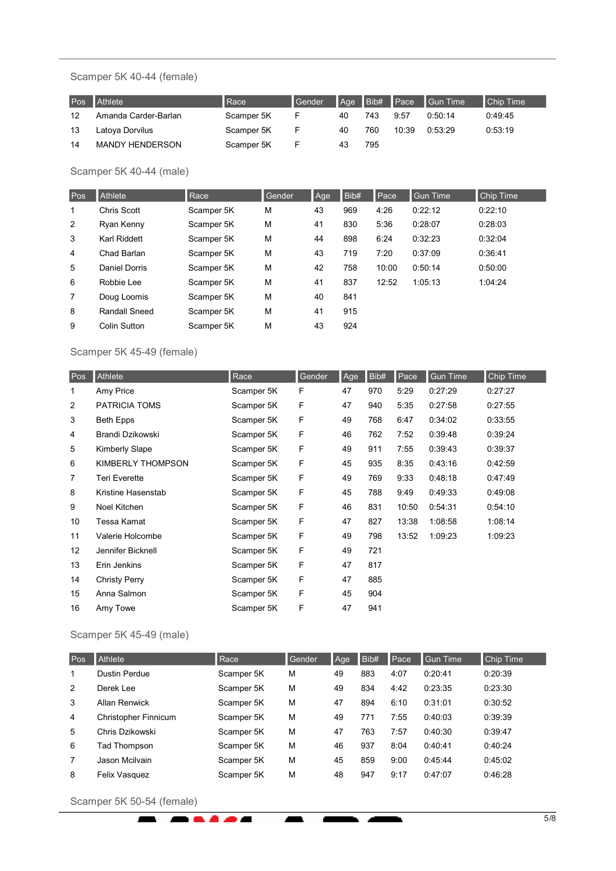#### Scamper 5K 40-44 (female)

| Pos | <b>Athlete</b>         | l Race     | Gender |    |     |       | Age Bib# Pace Gun Time | Chip Time |
|-----|------------------------|------------|--------|----|-----|-------|------------------------|-----------|
| 12  | Amanda Carder-Barlan   | Scamper 5K | E      | 40 | 743 | 9:57  | 0.50.14                | 0.49.45   |
| 13  | Latoya Dorvilus        | Scamper 5K | F.     | 40 | 760 | 10:39 | 0:53:29                | 0:53:19   |
| 14  | <b>MANDY HENDERSON</b> | Scamper 5K |        | 43 | 795 |       |                        |           |

Scamper 5K 40-44 (male)

| Pos | <b>Athlete</b>       | Race       | Gender | Age | Bib# | Pace  | <b>Gun Time</b> | <b>Chip Time</b> |
|-----|----------------------|------------|--------|-----|------|-------|-----------------|------------------|
| 1   | Chris Scott          | Scamper 5K | M      | 43  | 969  | 4:26  | 0:22:12         | 0:22:10          |
| 2   | Ryan Kenny           | Scamper 5K | М      | 41  | 830  | 5:36  | 0:28:07         | 0:28:03          |
| 3   | Karl Riddett         | Scamper 5K | M      | 44  | 898  | 6:24  | 0:32:23         | 0:32:04          |
| 4   | Chad Barlan          | Scamper 5K | M      | 43  | 719  | 7:20  | 0:37:09         | 0:36:41          |
| 5   | Daniel Dorris        | Scamper 5K | M      | 42  | 758  | 10:00 | 0:50:14         | 0:50:00          |
| 6   | Robbie Lee           | Scamper 5K | М      | 41  | 837  | 12:52 | 1:05:13         | 1:04:24          |
| 7   | Doug Loomis          | Scamper 5K | M      | 40  | 841  |       |                 |                  |
| 8   | <b>Randall Sneed</b> | Scamper 5K | M      | 41  | 915  |       |                 |                  |
| 9   | Colin Sutton         | Scamper 5K | М      | 43  | 924  |       |                 |                  |

# Scamper 5K 45-49 (female)

| Pos               | Athlete              | Race       | Gender | Age | Bib# | Pace  | <b>Gun Time</b> | Chip Time |
|-------------------|----------------------|------------|--------|-----|------|-------|-----------------|-----------|
| 1                 | Amy Price            | Scamper 5K | F      | 47  | 970  | 5:29  | 0:27:29         | 0:27:27   |
| 2                 | PATRICIA TOMS        | Scamper 5K | F      | 47  | 940  | 5:35  | 0:27:58         | 0:27:55   |
| 3                 | <b>Beth Epps</b>     | Scamper 5K | F      | 49  | 768  | 6:47  | 0:34:02         | 0:33:55   |
| 4                 | Brandi Dzikowski     | Scamper 5K | F      | 46  | 762  | 7:52  | 0:39:48         | 0:39:24   |
| 5                 | Kimberly Slape       | Scamper 5K | F      | 49  | 911  | 7:55  | 0:39:43         | 0:39:37   |
| 6                 | KIMBERLY THOMPSON    | Scamper 5K | F      | 45  | 935  | 8:35  | 0:43:16         | 0:42:59   |
| 7                 | <b>Teri Everette</b> | Scamper 5K | F      | 49  | 769  | 9:33  | 0:48:18         | 0:47:49   |
| 8                 | Kristine Hasenstab   | Scamper 5K | F      | 45  | 788  | 9:49  | 0:49:33         | 0:49:08   |
| 9                 | Noel Kitchen         | Scamper 5K | F      | 46  | 831  | 10:50 | 0:54:31         | 0:54:10   |
| 10                | Tessa Kamat          | Scamper 5K | F      | 47  | 827  | 13:38 | 1:08:58         | 1:08:14   |
| 11                | Valerie Holcombe     | Scamper 5K | F      | 49  | 798  | 13:52 | 1:09:23         | 1:09:23   |
| $12 \overline{ }$ | Jennifer Bicknell    | Scamper 5K | F      | 49  | 721  |       |                 |           |
| 13                | Erin Jenkins         | Scamper 5K | F      | 47  | 817  |       |                 |           |
| 14                | <b>Christy Perry</b> | Scamper 5K | F      | 47  | 885  |       |                 |           |
| 15                | Anna Salmon          | Scamper 5K | F      | 45  | 904  |       |                 |           |
| 16                | Amy Towe             | Scamper 5K | F      | 47  | 941  |       |                 |           |

# Scamper 5K 45-49 (male)

| Pos            | Athlete              | Race       | Gender | Age | Bib# | Pace | <b>Gun Time</b> | <b>Chip Time</b> |
|----------------|----------------------|------------|--------|-----|------|------|-----------------|------------------|
| 1              | Dustin Perdue        | Scamper 5K | М      | 49  | 883  | 4:07 | 0.20.41         | 0:20:39          |
| 2              | Derek Lee            | Scamper 5K | М      | 49  | 834  | 4:42 | 0.23.35         | 0:23:30          |
| 3              | Allan Renwick        | Scamper 5K | М      | 47  | 894  | 6:10 | 0:31:01         | 0:30:52          |
| 4              | Christopher Finnicum | Scamper 5K | М      | 49  | 771  | 7:55 | 0.40:03         | 0:39:39          |
| 5              | Chris Dzikowski      | Scamper 5K | М      | 47  | 763  | 7:57 | 0.40:30         | 0:39:47          |
| 6              | Tad Thompson         | Scamper 5K | M      | 46  | 937  | 8:04 | 0.40.41         | 0:40:24          |
| $\overline{7}$ | Jason Mcilvain       | Scamper 5K | М      | 45  | 859  | 9:00 | 0.45:44         | 0.45.02          |
| 8              | Felix Vasquez        | Scamper 5K | М      | 48  | 947  | 9:17 | 0.47:07         | 0:46:28          |

ь и

ĥ.

Scamper 5K 50-54 (female)

z

. . . *.* .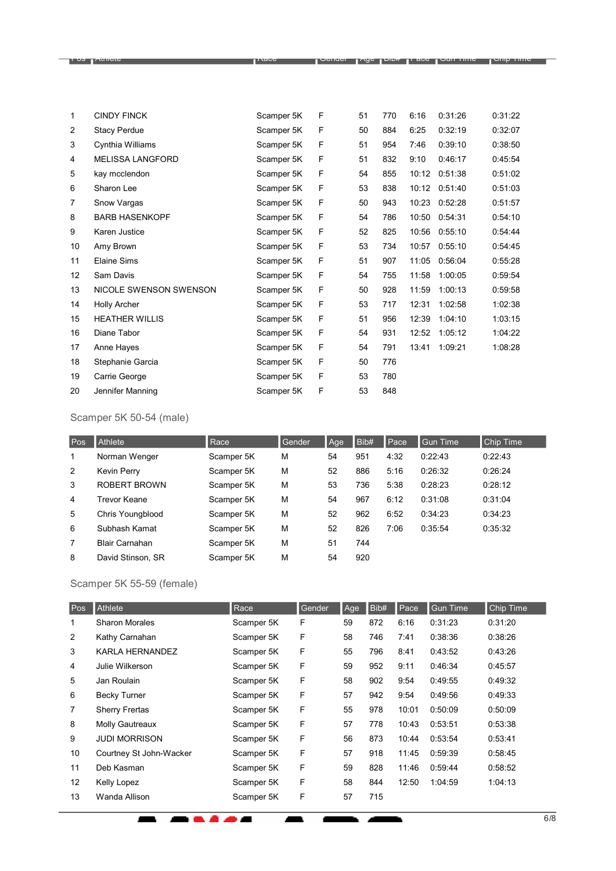| 1  | <b>CINDY FINCK</b>      | Scamper 5K | F | 51 | 770 | 6:16  | 0:31:26 | 0:31:22 |
|----|-------------------------|------------|---|----|-----|-------|---------|---------|
| 2  | <b>Stacy Perdue</b>     | Scamper 5K | F | 50 | 884 | 6:25  | 0:32:19 | 0:32:07 |
| 3  | Cynthia Williams        | Scamper 5K | F | 51 | 954 | 7:46  | 0:39:10 | 0:38:50 |
| 4  | <b>MELISSA LANGFORD</b> | Scamper 5K | F | 51 | 832 | 9:10  | 0:46:17 | 0:45:54 |
| 5  | kay mcclendon           | Scamper 5K | F | 54 | 855 | 10:12 | 0:51:38 | 0:51:02 |
| 6  | Sharon Lee              | Scamper 5K | F | 53 | 838 | 10:12 | 0:51:40 | 0:51:03 |
| 7  | Snow Vargas             | Scamper 5K | F | 50 | 943 | 10:23 | 0:52:28 | 0:51:57 |
| 8  | <b>BARB HASENKOPF</b>   | Scamper 5K | F | 54 | 786 | 10:50 | 0:54:31 | 0:54:10 |
| 9  | Karen Justice           | Scamper 5K | F | 52 | 825 | 10:56 | 0:55:10 | 0:54:44 |
| 10 | Amy Brown               | Scamper 5K | F | 53 | 734 | 10:57 | 0:55:10 | 0:54:45 |
| 11 | Elaine Sims             | Scamper 5K | F | 51 | 907 | 11:05 | 0:56:04 | 0:55:28 |
| 12 | Sam Davis               | Scamper 5K | F | 54 | 755 | 11:58 | 1:00:05 | 0:59:54 |
| 13 | NICOLE SWENSON SWENSON  | Scamper 5K | F | 50 | 928 | 11:59 | 1:00:13 | 0:59:58 |
| 14 | <b>Holly Archer</b>     | Scamper 5K | F | 53 | 717 | 12:31 | 1:02:58 | 1:02:38 |
| 15 | <b>HEATHER WILLIS</b>   | Scamper 5K | F | 51 | 956 | 12:39 | 1:04:10 | 1:03:15 |
| 16 | Diane Tabor             | Scamper 5K | F | 54 | 931 | 12:52 | 1:05:12 | 1:04:22 |
| 17 | Anne Hayes              | Scamper 5K | F | 54 | 791 | 13:41 | 1:09:21 | 1:08:28 |
| 18 | Stephanie Garcia        | Scamper 5K | F | 50 | 776 |       |         |         |
| 19 | Carrie George           | Scamper 5K | F | 53 | 780 |       |         |         |
| 20 | Jennifer Manning        | Scamper 5K | F | 53 | 848 |       |         |         |

 $\P$ i no  $\P$ uniere  $\P$ os  $\Gamma$ ace  $\P$ ace  $\P$ ace  $\P$ ace  $\P$ ace  $\P$ ace  $\P$ ace  $\P$ ace  $\P$ ace  $\P$ ace  $\P$ ace  $\P$ ace  $\P$ ace  $\P$ ace  $\P$ ace  $\P$ ace  $\P$ ace  $\P$ ace  $\P$ ace  $\P$ ace  $\P$ ace  $\P$ ace  $\P$ ace  $\P$ ace  $\P$ ace  $\P$ ace  $\P$ ace  $\P$ ace

# Scamper 5K 50-54 (male)

| Pos | Athlete               | Race       | Gender | Age | Bib# | Pace | <b>Gun Time</b> | <b>Chip Time</b> |
|-----|-----------------------|------------|--------|-----|------|------|-----------------|------------------|
| 1   | Norman Wenger         | Scamper 5K | М      | 54  | 951  | 4:32 | 0:22:43         | 0:22:43          |
| 2   | Kevin Perry           | Scamper 5K | М      | 52  | 886  | 5:16 | 0:26:32         | 0:26:24          |
| 3   | ROBERT BROWN          | Scamper 5K | М      | 53  | 736  | 5:38 | 0:28:23         | 0:28:12          |
| 4   | Trevor Keane          | Scamper 5K | М      | 54  | 967  | 6:12 | 0:31:08         | 0:31:04          |
| 5   | Chris Youngblood      | Scamper 5K | М      | 52  | 962  | 6:52 | 0:34:23         | 0:34:23          |
| 6   | Subhash Kamat         | Scamper 5K | М      | 52  | 826  | 7:06 | 0:35:54         | 0:35:32          |
| 7   | <b>Blair Carnahan</b> | Scamper 5K | М      | 51  | 744  |      |                 |                  |
| 8   | David Stinson, SR     | Scamper 5K | M      | 54  | 920  |      |                 |                  |

# Scamper 5K 55-59 (female)

-------

| Pos               | Athlete                 | Race       | Gender | Age | Bib# | Pace  | Gun Time | Chip Time |
|-------------------|-------------------------|------------|--------|-----|------|-------|----------|-----------|
| 1                 | <b>Sharon Morales</b>   | Scamper 5K | F      | 59  | 872  | 6:16  | 0:31:23  | 0:31:20   |
| 2                 | Kathy Carnahan          | Scamper 5K | F      | 58  | 746  | 7:41  | 0:38:36  | 0:38:26   |
| 3                 | KARLA HERNANDEZ         | Scamper 5K | F      | 55  | 796  | 8:41  | 0:43:52  | 0:43:26   |
| 4                 | Julie Wilkerson         | Scamper 5K | F      | 59  | 952  | 9:11  | 0:46:34  | 0:45:57   |
| 5                 | Jan Roulain             | Scamper 5K | F      | 58  | 902  | 9:54  | 0:49:55  | 0:49:32   |
| 6                 | <b>Becky Turner</b>     | Scamper 5K | F      | 57  | 942  | 9:54  | 0:49:56  | 0:49:33   |
| 7                 | <b>Sherry Frertas</b>   | Scamper 5K | F      | 55  | 978  | 10:01 | 0:50:09  | 0:50:09   |
| 8                 | <b>Molly Gautreaux</b>  | Scamper 5K | F      | 57  | 778  | 10:43 | 0:53:51  | 0:53:38   |
| 9                 | <b>JUDI MORRISON</b>    | Scamper 5K | F      | 56  | 873  | 10:44 | 0:53:54  | 0:53:41   |
| 10                | Courtney St John-Wacker | Scamper 5K | F      | 57  | 918  | 11:45 | 0:59:39  | 0:58:45   |
| 11                | Deb Kasman              | Scamper 5K | F      | 59  | 828  | 11:46 | 0:59:44  | 0:58:52   |
| $12 \overline{ }$ | Kelly Lopez             | Scamper 5K | F      | 58  | 844  | 12:50 | 1:04:59  | 1:04:13   |
| 13                | Wanda Allison           | Scamper 5K | F      | 57  | 715  |       |          |           |

 $\blacksquare$ Ė.  $\overline{\phantom{a}}$ 

 $\blacksquare$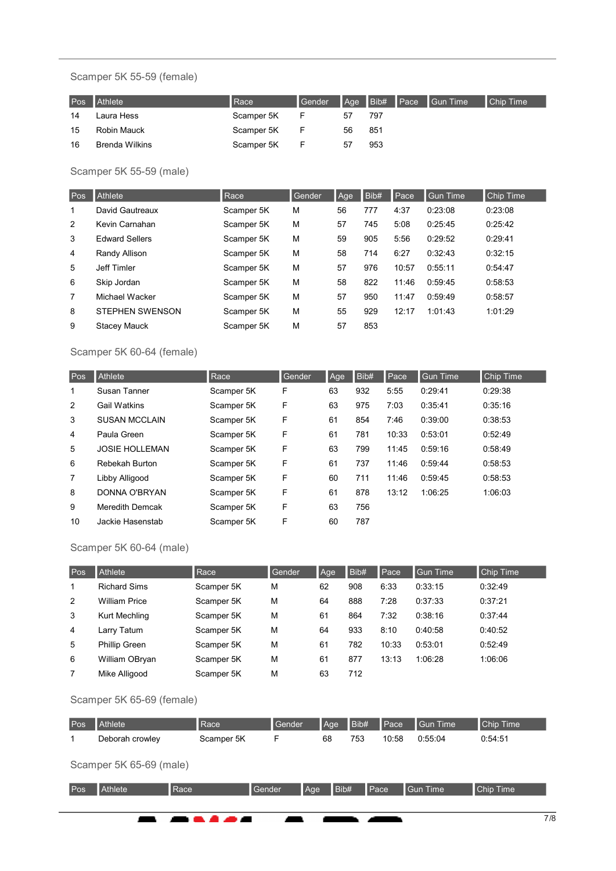#### Scamper 5K 55-59 (female)

|    | Pos Athlete           | Race       | <b>Gender</b> |    |     | Age Bib# Pace Gun Time | Chip Time |
|----|-----------------------|------------|---------------|----|-----|------------------------|-----------|
| 14 | Laura Hess            | Scamper 5K |               | 57 | 797 |                        |           |
| 15 | Robin Mauck           | Scamper 5K |               | 56 | 851 |                        |           |
| 16 | <b>Brenda Wilkins</b> | Scamper 5K |               | 57 | 953 |                        |           |

# Scamper 5K 55-59 (male)

| Pos | <b>Athlete</b>         | Race       | Gender | Age | Bib# | Pace  | <b>Gun Time</b> | <b>Chip Time</b> |
|-----|------------------------|------------|--------|-----|------|-------|-----------------|------------------|
| 1   | David Gautreaux        | Scamper 5K | M      | 56  | 777  | 4:37  | 0:23:08         | 0:23:08          |
| 2   | Kevin Carnahan         | Scamper 5K | M      | 57  | 745  | 5:08  | 0:25:45         | 0.25.42          |
| 3   | <b>Edward Sellers</b>  | Scamper 5K | M      | 59  | 905  | 5:56  | 0:29:52         | 0:29:41          |
| 4   | Randy Allison          | Scamper 5K | M      | 58  | 714  | 6:27  | 0:32:43         | 0:32:15          |
| 5   | <b>Jeff Timler</b>     | Scamper 5K | M      | 57  | 976  | 10:57 | 0:55:11         | 0:54:47          |
| 6   | Skip Jordan            | Scamper 5K | M      | 58  | 822  | 11:46 | 0.59.45         | 0:58:53          |
| 7   | Michael Wacker         | Scamper 5K | M      | 57  | 950  | 11:47 | 0.59.49         | 0:58:57          |
| 8   | <b>STEPHEN SWENSON</b> | Scamper 5K | M      | 55  | 929  | 12:17 | 1:01:43         | 1:01:29          |
| 9   | <b>Stacey Mauck</b>    | Scamper 5K | M      | 57  | 853  |       |                 |                  |

# Scamper 5K 60-64 (female)

| Pos | Athlete                | Race       | Gender | Age | Bib# | Pace  | <b>Gun Time</b> | <b>Chip Time</b> |
|-----|------------------------|------------|--------|-----|------|-------|-----------------|------------------|
| 1   | Susan Tanner           | Scamper 5K | F      | 63  | 932  | 5:55  | 0:29:41         | 0:29:38          |
| 2   | <b>Gail Watkins</b>    | Scamper 5K | F      | 63  | 975  | 7:03  | 0:35:41         | 0:35:16          |
| 3   | <b>SUSAN MCCLAIN</b>   | Scamper 5K | F      | 61  | 854  | 7:46  | 0:39:00         | 0:38:53          |
| 4   | Paula Green            | Scamper 5K | F      | 61  | 781  | 10:33 | 0.53:01         | 0:52:49          |
| 5   | <b>JOSIE HOLLEMAN</b>  | Scamper 5K | F      | 63  | 799  | 11:45 | 0.59:16         | 0.58.49          |
| 6   | Rebekah Burton         | Scamper 5K | F      | 61  | 737  | 11:46 | 0:59:44         | 0:58:53          |
| 7   | Libby Alligood         | Scamper 5K | F      | 60  | 711  | 11:46 | 0:59:45         | 0:58:53          |
| 8   | DONNA O'BRYAN          | Scamper 5K | F      | 61  | 878  | 13:12 | 1:06:25         | 1:06:03          |
| 9   | <b>Meredith Demcak</b> | Scamper 5K | F      | 63  | 756  |       |                 |                  |
| 10  | Jackie Hasenstab       | Scamper 5K | F      | 60  | 787  |       |                 |                  |

### Scamper 5K 60-64 (male)

| Pos | <b>Athlete</b>       | Race       | Gender | Age | Bib# | Pace  | <b>Gun Time</b> | <b>Chip Time</b> |
|-----|----------------------|------------|--------|-----|------|-------|-----------------|------------------|
| 1   | <b>Richard Sims</b>  | Scamper 5K | М      | 62  | 908  | 6:33  | 0:33:15         | 0:32:49          |
| 2   | <b>William Price</b> | Scamper 5K | М      | 64  | 888  | 7:28  | 0:37:33         | 0:37:21          |
| 3   | Kurt Mechling        | Scamper 5K | М      | 61  | 864  | 7:32  | 0:38:16         | 0:37:44          |
| 4   | Larry Tatum          | Scamper 5K | М      | 64  | 933  | 8:10  | 0:40:58         | 0:40:52          |
| 5   | <b>Phillip Green</b> | Scamper 5K | М      | 61  | 782  | 10:33 | 0:53:01         | 0.52:49          |
| 6   | William OBryan       | Scamper 5K | М      | 61  | 877  | 13:13 | 1:06:28         | 1:06:06          |
| 7   | Mike Alligood        | Scamper 5K | М      | 63  | 712  |       |                 |                  |

# Scamper 5K 65-69 (female)

| Pos | Athlete         | Race       | <b>Gender</b> | $Aq$ e Bib# |     | <b>N</b> Pace | Gun Time | Chip Time |
|-----|-----------------|------------|---------------|-------------|-----|---------------|----------|-----------|
|     | Deborah crowlev | Scamper 5K |               | 68          | 753 | 10:58         | 0:55:04  | 0:54:51   |

## Scamper 5K 65-69 (male)

|     |                | ---- |        |     |      |      |          |                  |  |
|-----|----------------|------|--------|-----|------|------|----------|------------------|--|
| Pos | <b>Athlete</b> | Race | Gender | Age | Bib# | Pace | Gun Time | <b>Chip Time</b> |  |
|     |                |      |        |     |      |      |          |                  |  |